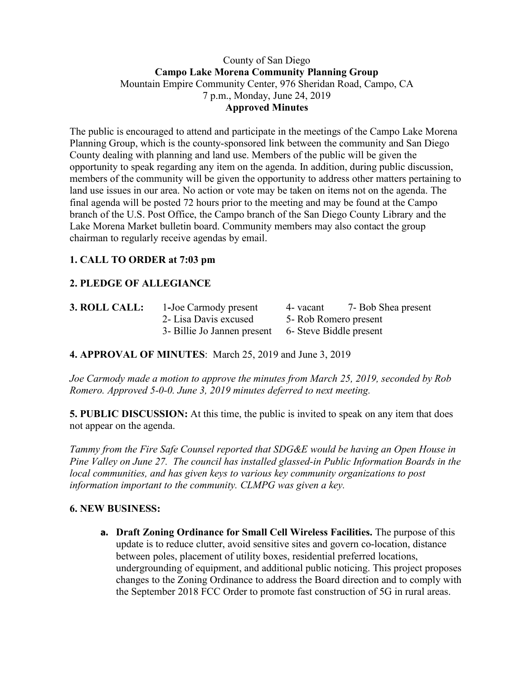## County of San Diego **Campo Lake Morena Community Planning Group** Mountain Empire Community Center, 976 Sheridan Road, Campo, CA 7 p.m., Monday, June 24, 2019 **Approved Minutes**

The public is encouraged to attend and participate in the meetings of the Campo Lake Morena Planning Group, which is the county-sponsored link between the community and San Diego County dealing with planning and land use. Members of the public will be given the opportunity to speak regarding any item on the agenda. In addition, during public discussion, members of the community will be given the opportunity to address other matters pertaining to land use issues in our area. No action or vote may be taken on items not on the agenda. The final agenda will be posted 72 hours prior to the meeting and may be found at the Campo branch of the U.S. Post Office, the Campo branch of the San Diego County Library and the Lake Morena Market bulletin board. Community members may also contact the group chairman to regularly receive agendas by email.

# **1. CALL TO ORDER at 7:03 pm**

# **2. PLEDGE OF ALLEGIANCE**

| 3. ROLL CALL: | 1-Joe Carmody present                               | 4- vacant              | 7- Bob Shea present |  |
|---------------|-----------------------------------------------------|------------------------|---------------------|--|
|               | 2- Lisa Davis excused                               | 5 - Rob Romero present |                     |  |
|               | 3- Billie Jo Jannen present 6- Steve Biddle present |                        |                     |  |

#### **4. APPROVAL OF MINUTES**: March 25, 2019 and June 3, 2019

*Joe Carmody made a motion to approve the minutes from March 25, 2019, seconded by Rob Romero. Approved 5-0-0. June 3, 2019 minutes deferred to next meeting.*

**5. PUBLIC DISCUSSION:** At this time, the public is invited to speak on any item that does not appear on the agenda.

*Tammy from the Fire Safe Counsel reported that SDG&E would be having an Open House in Pine Valley on June 27. The council has installed glassed-in Public Information Boards in the local communities, and has given keys to various key community organizations to post information important to the community. CLMPG was given a key.*

#### **6. NEW BUSINESS:**

**a. Draft Zoning Ordinance for Small Cell Wireless Facilities.** The purpose of this update is to reduce clutter, avoid sensitive sites and govern co-location, distance between poles, placement of utility boxes, residential preferred locations, undergrounding of equipment, and additional public noticing. This project proposes changes to the Zoning Ordinance to address the Board direction and to comply with the September 2018 FCC Order to promote fast construction of 5G in rural areas.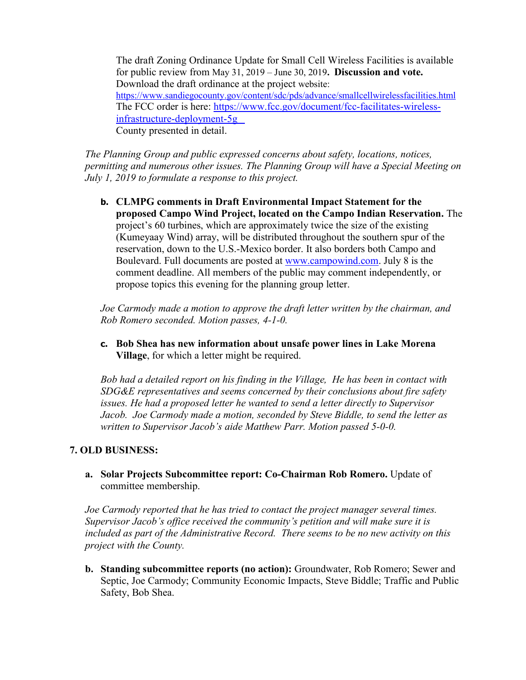The draft Zoning Ordinance Update for Small Cell Wireless Facilities is available for public review from May 31, 2019 – June 30, 2019**. Discussion and vote.**  Download the draft ordinance at the project website: https://www.sandiegocounty.gov/content/sdc/pds/advance/smallcellwirelessfacilities.html The FCC order is here: https://www.fcc.gov/document/fcc-facilitates-wireless infrastructure-deployment-5g County presented in detail.

*The Planning Group and public expressed concerns about safety, locations, notices, permitting and numerous other issues. The Planning Group will have a Special Meeting on July 1, 2019 to formulate a response to this project.*

**b. CLMPG comments in Draft Environmental Impact Statement for the proposed Campo Wind Project, located on the Campo Indian Reservation.** The project's 60 turbines, which are approximately twice the size of the existing (Kumeyaay Wind) array, will be distributed throughout the southern spur of the reservation, down to the U.S.-Mexico border. It also borders both Campo and Boulevard. Full documents are posted at www.campowind.com. July 8 is the comment deadline. All members of the public may comment independently, or propose topics this evening for the planning group letter.

*Joe Carmody made a motion to approve the draft letter written by the chairman, and Rob Romero seconded. Motion passes, 4-1-0.*

**c. Bob Shea has new information about unsafe power lines in Lake Morena Village**, for which a letter might be required.

*Bob had a detailed report on his finding in the Village, He has been in contact with SDG&E representatives and seems concerned by their conclusions about fire safety issues. He had a proposed letter he wanted to send a letter directly to Supervisor Jacob. Joe Carmody made a motion, seconded by Steve Biddle, to send the letter as written to Supervisor Jacob's aide Matthew Parr. Motion passed 5-0-0.*

#### **7. OLD BUSINESS:**

**a. Solar Projects Subcommittee report: Co-Chairman Rob Romero.** Update of committee membership.

*Joe Carmody reported that he has tried to contact the project manager several times. Supervisor Jacob's office received the community's petition and will make sure it is included as part of the Administrative Record. There seems to be no new activity on this project with the County.*

**b. Standing subcommittee reports (no action):** Groundwater, Rob Romero; Sewer and Septic, Joe Carmody; Community Economic Impacts, Steve Biddle; Traffic and Public Safety, Bob Shea.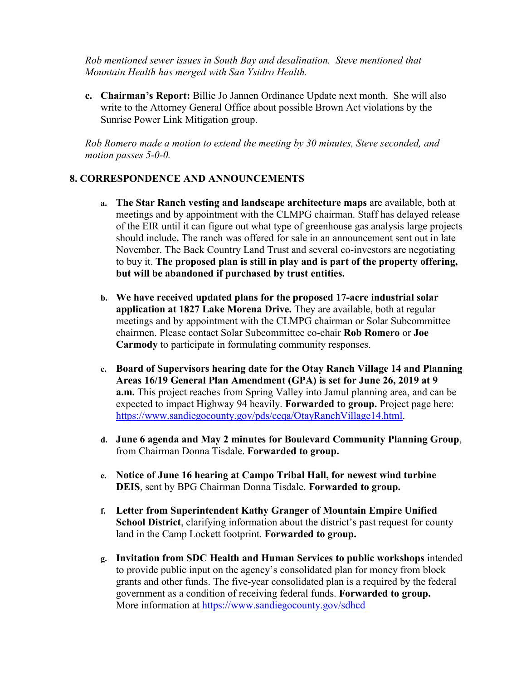*Rob mentioned sewer issues in South Bay and desalination. Steve mentioned that Mountain Health has merged with San Ysidro Health.* 

**c. Chairman's Report:** Billie Jo Jannen Ordinance Update next month. She will also write to the Attorney General Office about possible Brown Act violations by the Sunrise Power Link Mitigation group.

*Rob Romero made a motion to extend the meeting by 30 minutes, Steve seconded, and motion passes 5-0-0.*

## **8. CORRESPONDENCE AND ANNOUNCEMENTS**

- **a. The Star Ranch vesting and landscape architecture maps** are available, both at meetings and by appointment with the CLMPG chairman. Staff has delayed release of the EIR until it can figure out what type of greenhouse gas analysis large projects should include**.** The ranch was offered for sale in an announcement sent out in late November. The Back Country Land Trust and several co-investors are negotiating to buy it. **The proposed plan is still in play and is part of the property offering, but will be abandoned if purchased by trust entities.**
- **b. We have received updated plans for the proposed 17-acre industrial solar application at 1827 Lake Morena Drive.** They are available, both at regular meetings and by appointment with the CLMPG chairman or Solar Subcommittee chairmen. Please contact Solar Subcommittee co-chair **Rob Romero** or **Joe Carmody** to participate in formulating community responses.
- **c. Board of Supervisors hearing date for the Otay Ranch Village 14 and Planning Areas 16/19 General Plan Amendment (GPA) is set for June 26, 2019 at 9 a.m.** This project reaches from Spring Valley into Jamul planning area, and can be expected to impact Highway 94 heavily. **Forwarded to group.** Project page here: https://www.sandiegocounty.gov/pds/ceqa/OtayRanchVillage14.html.
- **d. June 6 agenda and May 2 minutes for Boulevard Community Planning Group**, from Chairman Donna Tisdale. **Forwarded to group.**
- **e. Notice of June 16 hearing at Campo Tribal Hall, for newest wind turbine DEIS**, sent by BPG Chairman Donna Tisdale. **Forwarded to group.**
- **f. Letter from Superintendent Kathy Granger of Mountain Empire Unified School District**, clarifying information about the district's past request for county land in the Camp Lockett footprint. **Forwarded to group.**
- **g. Invitation from SDC Health and Human Services to public workshops** intended to provide public input on the agency's consolidated plan for money from block grants and other funds. The five-year consolidated plan is a required by the federal government as a condition of receiving federal funds. **Forwarded to group.** More information at https://www.sandiegocounty.gov/sdhcd